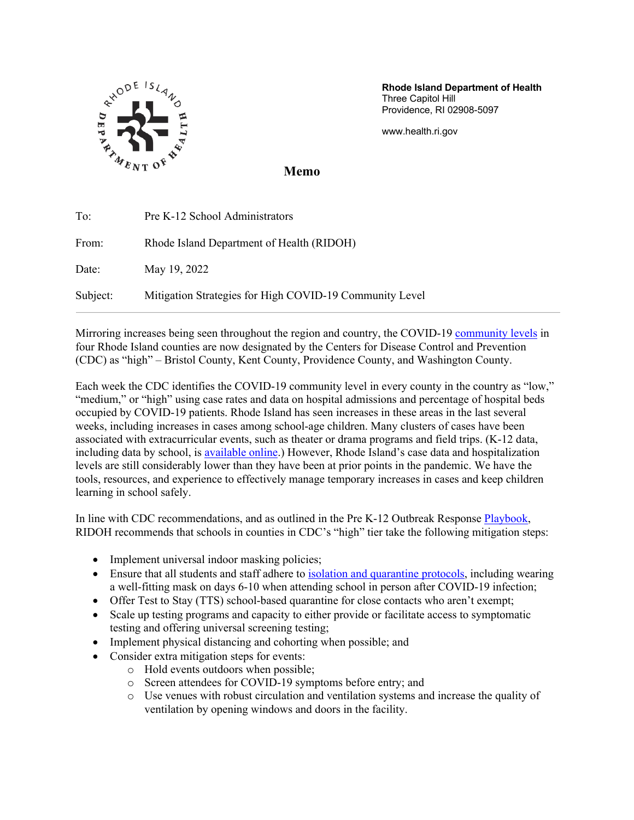

**Rhode Island Department of Health**  Three Capitol Hill Providence, RI 02908-5097

www.health.ri.gov

**Memo**

| To:      | Pre K-12 School Administrators                          |
|----------|---------------------------------------------------------|
| From:    | Rhode Island Department of Health (RIDOH)               |
| Date:    | May 19, 2022                                            |
| Subject: | Mitigation Strategies for High COVID-19 Community Level |

Mirroring increases being seen throughout the region and country, the COVID-19 community levels in four Rhode Island counties are now designated by the Centers for Disease Control and Prevention (CDC) as "high" – Bristol County, Kent County, Providence County, and Washington County.

Each week the CDC identifies the COVID-19 community level in every county in the country as "low," "medium," or "high" using case rates and data on hospital admissions and percentage of hospital beds occupied by COVID-19 patients. Rhode Island has seen increases in these areas in the last several weeks, including increases in cases among school-age children. Many clusters of cases have been associated with extracurricular events, such as theater or drama programs and field trips. (K-12 data, including data by school, is available online.) However, Rhode Island's case data and hospitalization levels are still considerably lower than they have been at prior points in the pandemic. We have the tools, resources, and experience to effectively manage temporary increases in cases and keep children learning in school safely.

In line with CDC recommendations, and as outlined in the Pre K-12 Outbreak Response Playbook, RIDOH recommends that schools in counties in CDC's "high" tier take the following mitigation steps:

- Implement universal indoor masking policies;
- Ensure that all students and staff adhere to isolation and quarantine protocols, including wearing a well-fitting mask on days 6-10 when attending school in person after COVID-19 infection;
- Offer Test to Stay (TTS) school-based quarantine for close contacts who aren't exempt;
- Scale up testing programs and capacity to either provide or facilitate access to symptomatic testing and offering universal screening testing;
- Implement physical distancing and cohorting when possible; and
- Consider extra mitigation steps for events:
	- o Hold events outdoors when possible;
	- o Screen attendees for COVID-19 symptoms before entry; and
	- o Use venues with robust circulation and ventilation systems and increase the quality of ventilation by opening windows and doors in the facility.